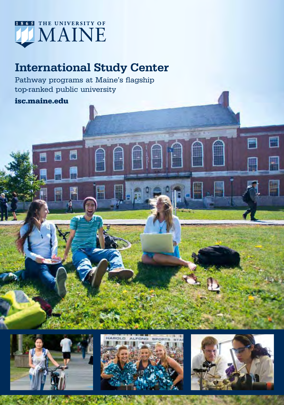

## International Study Center

Pathway programs at Maine's flagship top-ranked public university

### isc.maine.edu





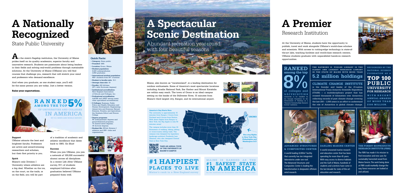#### Quick Facts:

• Category: State public

• Founded: 1865

• Location: Orono, Maine • Student population:

• Student life: NCAA Division athletics and 200+ clubs and organizations.





- 8,429 undergraduates; 2,058 graduates
- International student population: 400+ students from 80+ countries
- Student to faculty ratio: 15:1 • Average class size: 19
- Faculty: 418 full-time
- (97% with Doctorate degrees) • Institutional accreditation: New England Association
- of Schools and Colleges, Inc. • Professional accreditation:
- AACSB and ABET among many other specialized accreditation
- 5 Colleges: Business, Public Policy and Health; Education and Human Development; Engineering; Liberal Arts and Sciences; Natural Sciences, Forestry, and Agriculture; the Graduate School and Honors College
- Degree programs: 90 undergraduate degrees and pre-professional programs, 75 master's-level degrees; 30 doctoral degrees.

A world-leading 8,000m<sup>2</sup> facility that currently has ten integrated laboratories under one roof. The Advanced Structures and Composites Center is leading the transformation in deepwater offshore wind research.

As the state's flagship institution, the University of Maine prides itself on its quality academics, superior faculty and innovative research. Students are passionate about being leaders in their fields and solving real-world problems through sustainable solutions. At the University of Maine (UMaine) you will find courses that challenge you, research that will stretch your mind and professors who demand excellence.



THE FOREST BIOPRODUCTS Research Institute (FBRI)

And when you graduate, as one student says, you'll still be the same person you are today. Just a better version.

#### Raise your expectations.

## A Nationally Recognized

State Public University

## A Spectacular Scenic Destination

Abundant recreation year-round with four beautiful seasons

At the University of Maine, students have the opportunity to



### THE RAYMOND H. FOGLER LIBRARY IS THE OLDEST AND LARGEST RESEARCH LIBRARY IN THE STATE OF MAINE WITH MORE THAN 5.2 million holdings

publish, travel and work alongside UMaine's world-class scholars and scientists. With access to cutting-edge technology in state-of the-art labs, teaching facilities and world-class research centers, UMaine students graduate with unparalleled hands-on research opportunities.

# A Premier

### Research Institution



Advanced Structures & Composites Center



A world renowned marine research and education center that has been

operating for more than 45 years. With easy access to diverse habitats and the Gulf of Maine, hundreds of students and scientists have come in the last decade for state-of-the-art education and research.

The FBRI has made it its mission to find innovative and new uses for sustainably harvested wood from Maine forests. The work being done at FBRI could markedly change the way forest resources are looked at and utilized.

#### Maine, also known as "vacationland", is a leading destination for outdoor enthusiasts. Some of America's most spectacular locations including Acadia National Park, Bar Harbor and Mount Katahdin are within easy reach. The town of Orono is an ideal campus setting on the banks of the Stillwater River, 15 minutes from Maine's third largest city, Bangor, and its international airport.















## #1 happiest places to live

Maine's rank in a New England survey

Climate Change Institute is the founder and leader of the 21-nation International Trans Antarctic Scientific Expedition (ITASE) — a multidisciplinary project that has crossed thousands of kilometers over Antarctica collecting records of past climate change covering the last 200 – 1,000 years in an effort to understand the role of Antarctica in global climate change.

### Ranked among the top 8% of colleges and universities nationwide to be classified by the Carnegie Foundation for the ncement of Teaching as a .<br>Research University-High Research Activity" institution.

### RECOGNIZED BY THE NATIONAL SCIENCE FOUNDATION AS A TOP 100 PUBLIC UNIVERSITY FOR RESEARCH

WITH RECENT ANNUAL AWARDS OF MORE THAN \$100 MILLION.

#### Support

UMaine attracts the best and brightest faculty. Professors are active and award-winning researchers and scholars, but their first priority is you.

#### Spirit

Maine's only Division I University where athletics are a big deal. Whether on the ice, on the court, on the trails, or on the field, you will be part

of a tradition of academic and athletic excellence that dates back to 1865. Go Blue!

Success

When you join UMaine, you join a network of 100,000 successful alumni across all disciplines. In a recent Life After UMaine survey, 91% of students employed full-time after graduation believed UMaine

prepared them well.



America's Day Starts Here The university is approximately 15 minutes from Bangor, 2 hours from Portland and 4 hours from Boston. With direct flights from Bangor to New York, the Big Apple is only 50

minutes away!

The campus includes more than 24 kilometers of walking, hiking, biking or cross-country skiing trails. The campus was designed by legendary landscape architect Frederick Law Olmsted, who also designed Central Park in New York City.



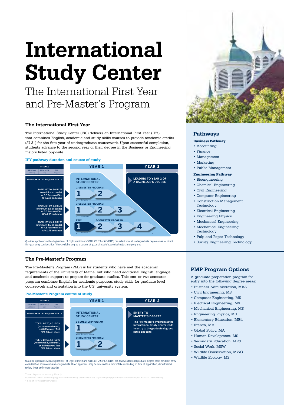## International Study Center

The International First Year and Pre-Master's Program

The International Study Center (ISC) delivers an International First Year (IFY) that combines English, academic and study skills courses to provide academic credits (27-31) for the first year of undergraduate coursework. Upon successful completion, students advance to the second year of their degree in the Business or Engineering majors listed opposite. The International First Year<br>The International Study Center (ISC) delivers<br>that combines English, academic and study<br>(27-31) for the first year of undergraduate coi<br>students advance to the second year of their<br>majors liste

#### IFY pathway duration and course of study



Qualified applicants with a higher level of English (minimum TOEFL iBT 79 or 6.5 IELTS) can select from all undergraduate degree areas for direct<br>first-year entry consideration. View available degree programs at go.umaine.

#### The Pre-Master's Program

The Pre-Master's Program (PMP) is for students who have met the academic requirements of the University of Maine, but who need additional English language and academic support to prepare for graduate studies. This one- or two-semester program combines English for academic purposes, study skills for graduate level coursework and orientation into the U.S. university system.

#### Pre-Master's Program course of study



Qualified applicants with a higher level of English (minimum TOEFL iBT 79 or 6.5 IELTS) can review additional graduate degree areas for direct entry consideration at www.umaine.edu/graduate. Direct applicants may be deferred to a later intake depending on time of application, departmental review times and cohort capacity.



#### Pathways

#### Business Pathway

- Accounting
- Finance
- Management
- Marketing
- Public Management

#### Engineering Pathway

- Bioengineering
- Chemical Engineering
- Civil Engineering
- Computer Engineering
- Construction Management Technology
- Electrical Engineering
- Engineering Physics
- Mechanical Engineering
- Mechanical Engineering Technology
- Pulp and Paper Technology
- Survey Engineering Technology

#### PMP Program Options

A graduate preparation program for entry into the following degree areas:

- Business Administration, MBA
- Civil Engineering, MS
- Computer Engineering, MS
- Electrical Engineering, MS
- Mechanical Engineering, MS
- Engineering Physics, MS
- Elementary Education, MEd
- French, MA
- Global Policy, MA
- Human Development, MS
- Secondary Education, MEd
- Social Work, MSW
- Wildlife Conservation, MWC
- Wildlife Ecology, MS
-